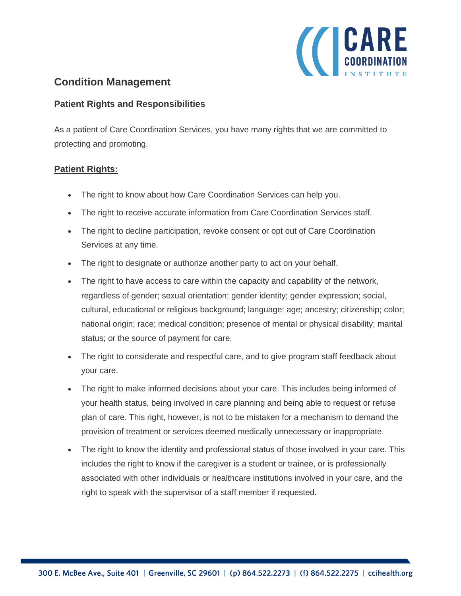

# **Condition Management**

#### **Patient Rights and Responsibilities**

As a patient of Care Coordination Services, you have many rights that we are committed to protecting and promoting.

### **Patient Rights:**

- The right to know about how Care Coordination Services can help you.
- The right to receive accurate information from Care Coordination Services staff.
- The right to decline participation, revoke consent or opt out of Care Coordination Services at any time.
- The right to designate or authorize another party to act on your behalf.
- The right to have access to care within the capacity and capability of the network, regardless of gender; sexual orientation; gender identity; gender expression; social, cultural, educational or religious background; language; age; ancestry; citizenship; color; national origin; race; medical condition; presence of mental or physical disability; marital status; or the source of payment for care.
- The right to considerate and respectful care, and to give program staff feedback about your care.
- The right to make informed decisions about your care. This includes being informed of your health status, being involved in care planning and being able to request or refuse plan of care. This right, however, is not to be mistaken for a mechanism to demand the provision of treatment or services deemed medically unnecessary or inappropriate.
- The right to know the identity and professional status of those involved in your care. This includes the right to know if the caregiver is a student or trainee, or is professionally associated with other individuals or healthcare institutions involved in your care, and the right to speak with the supervisor of a staff member if requested.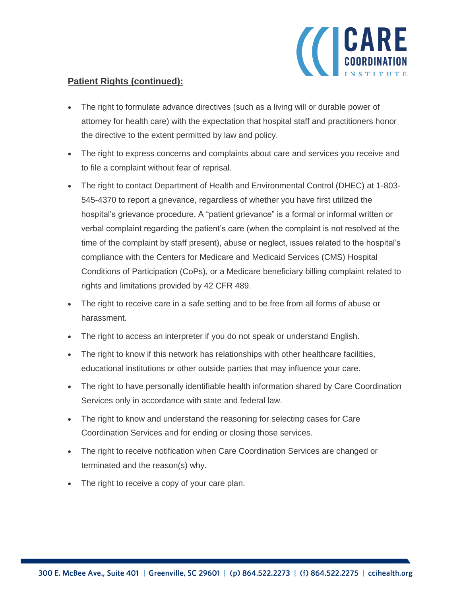

## **Patient Rights (continued):**

- The right to formulate advance directives (such as a living will or durable power of attorney for health care) with the expectation that hospital staff and practitioners honor the directive to the extent permitted by law and policy.
- The right to express concerns and complaints about care and services you receive and to file a complaint without fear of reprisal.
- The right to contact Department of Health and Environmental Control (DHEC) at 1-803- 545-4370 to report a grievance, regardless of whether you have first utilized the hospital's grievance procedure. A "patient grievance" is a formal or informal written or verbal complaint regarding the patient's care (when the complaint is not resolved at the time of the complaint by staff present), abuse or neglect, issues related to the hospital's compliance with the Centers for Medicare and Medicaid Services (CMS) Hospital Conditions of Participation (CoPs), or a Medicare beneficiary billing complaint related to rights and limitations provided by 42 CFR 489.
- The right to receive care in a safe setting and to be free from all forms of abuse or harassment.
- The right to access an interpreter if you do not speak or understand English.
- The right to know if this network has relationships with other healthcare facilities, educational institutions or other outside parties that may influence your care.
- The right to have personally identifiable health information shared by Care Coordination Services only in accordance with state and federal law.
- The right to know and understand the reasoning for selecting cases for Care Coordination Services and for ending or closing those services.
- The right to receive notification when Care Coordination Services are changed or terminated and the reason(s) why.
- The right to receive a copy of your care plan.